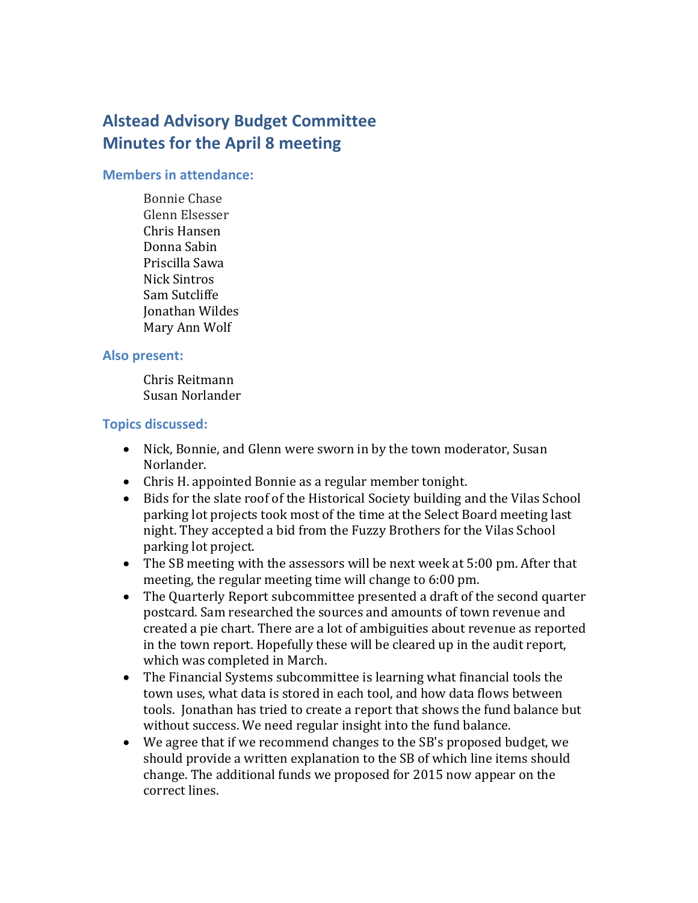# **Alstead Advisory Budget Committee Minutes for the April 8 meeting**

#### **Members in attendance:**

Bonnie Chase Glenn Elsesser Chris Hansen Donna Sabin Priscilla Sawa Nick Sintros Sam Sutcliffe Jonathan Wildes Mary Ann Wolf

#### **Also present:**

Chris Reitmann Susan Norlander

### **Topics discussed:**

- Nick, Bonnie, and Glenn were sworn in by the town moderator, Susan Norlander.
- Chris H. appointed Bonnie as a regular member tonight.
- Bids for the slate roof of the Historical Society building and the Vilas School parking lot projects took most of the time at the Select Board meeting last night. They accepted a bid from the Fuzzy Brothers for the Vilas School parking lot project.
- The SB meeting with the assessors will be next week at 5:00 pm. After that meeting, the regular meeting time will change to 6:00 pm.
- The Quarterly Report subcommittee presented a draft of the second quarter postcard. Sam researched the sources and amounts of town revenue and created a pie chart. There are a lot of ambiguities about revenue as reported in the town report. Hopefully these will be cleared up in the audit report, which was completed in March.
- The Financial Systems subcommittee is learning what financial tools the town uses, what data is stored in each tool, and how data flows between tools. Jonathan has tried to create a report that shows the fund balance but without success. We need regular insight into the fund balance.
- We agree that if we recommend changes to the SB's proposed budget, we should provide a written explanation to the SB of which line items should change. The additional funds we proposed for 2015 now appear on the correct lines.